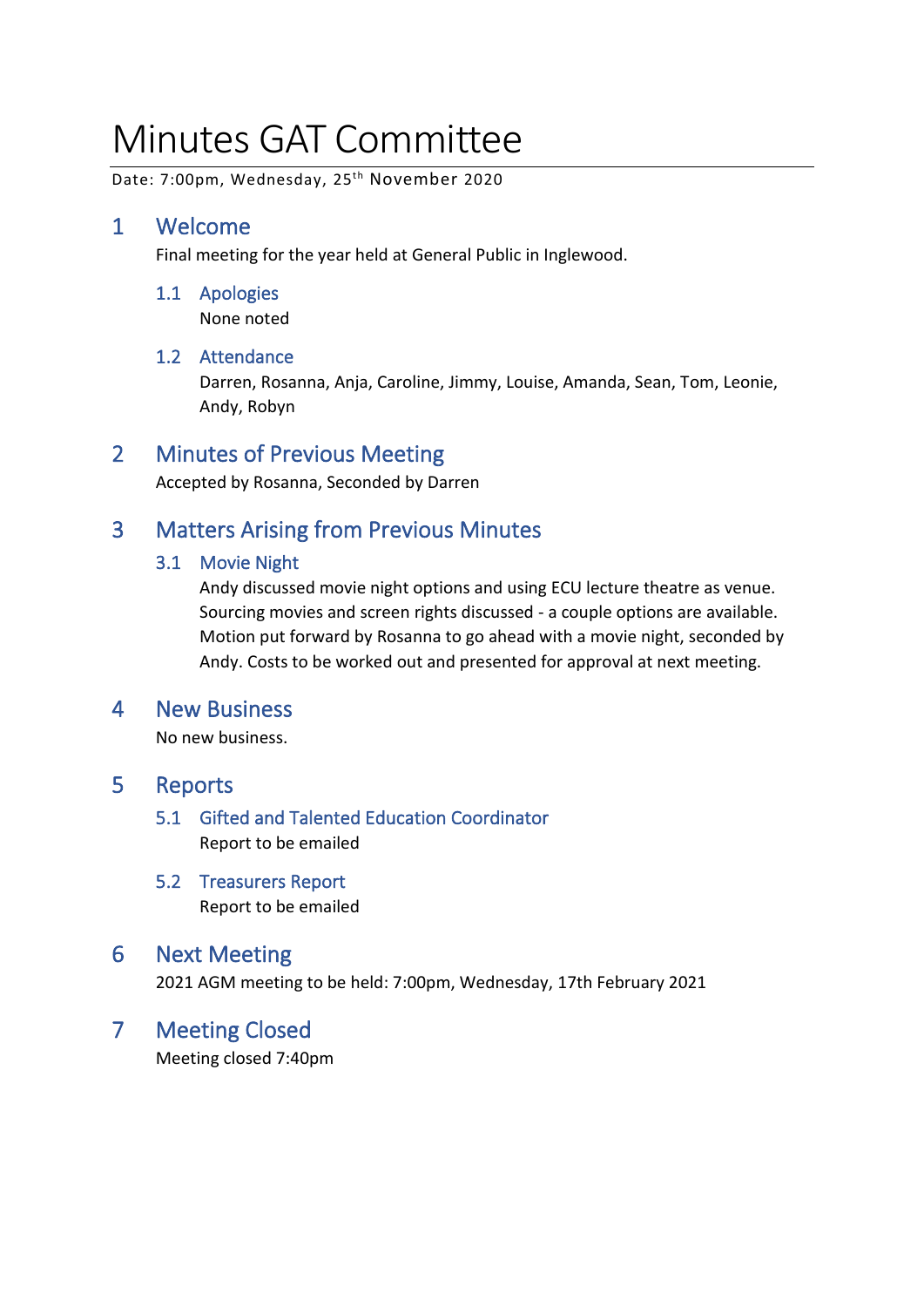# Minutes GAT Committee

Date: 7:00pm, Wednesday, 25<sup>th</sup> November 2020

# 1 Welcome

Final meeting for the year held at General Public in Inglewood.

## 1.1 Apologies

None noted

## 1.2 Attendance

Darren, Rosanna, Anja, Caroline, Jimmy, Louise, Amanda, Sean, Tom, Leonie, Andy, Robyn

# 2 Minutes of Previous Meeting

Accepted by Rosanna, Seconded by Darren

# 3 Matters Arising from Previous Minutes

### 3.1 Movie Night

Andy discussed movie night options and using ECU lecture theatre as venue. Sourcing movies and screen rights discussed - a couple options are available. Motion put forward by Rosanna to go ahead with a movie night, seconded by Andy. Costs to be worked out and presented for approval at next meeting.

# 4 New Business

No new business.

# 5 Reports

## 5.1 Gifted and Talented Education Coordinator Report to be emailed

5.2 Treasurers Report Report to be emailed

# 6 Next Meeting

2021 AGM meeting to be held: 7:00pm, Wednesday, 17th February 2021

# 7 Meeting Closed

Meeting closed 7:40pm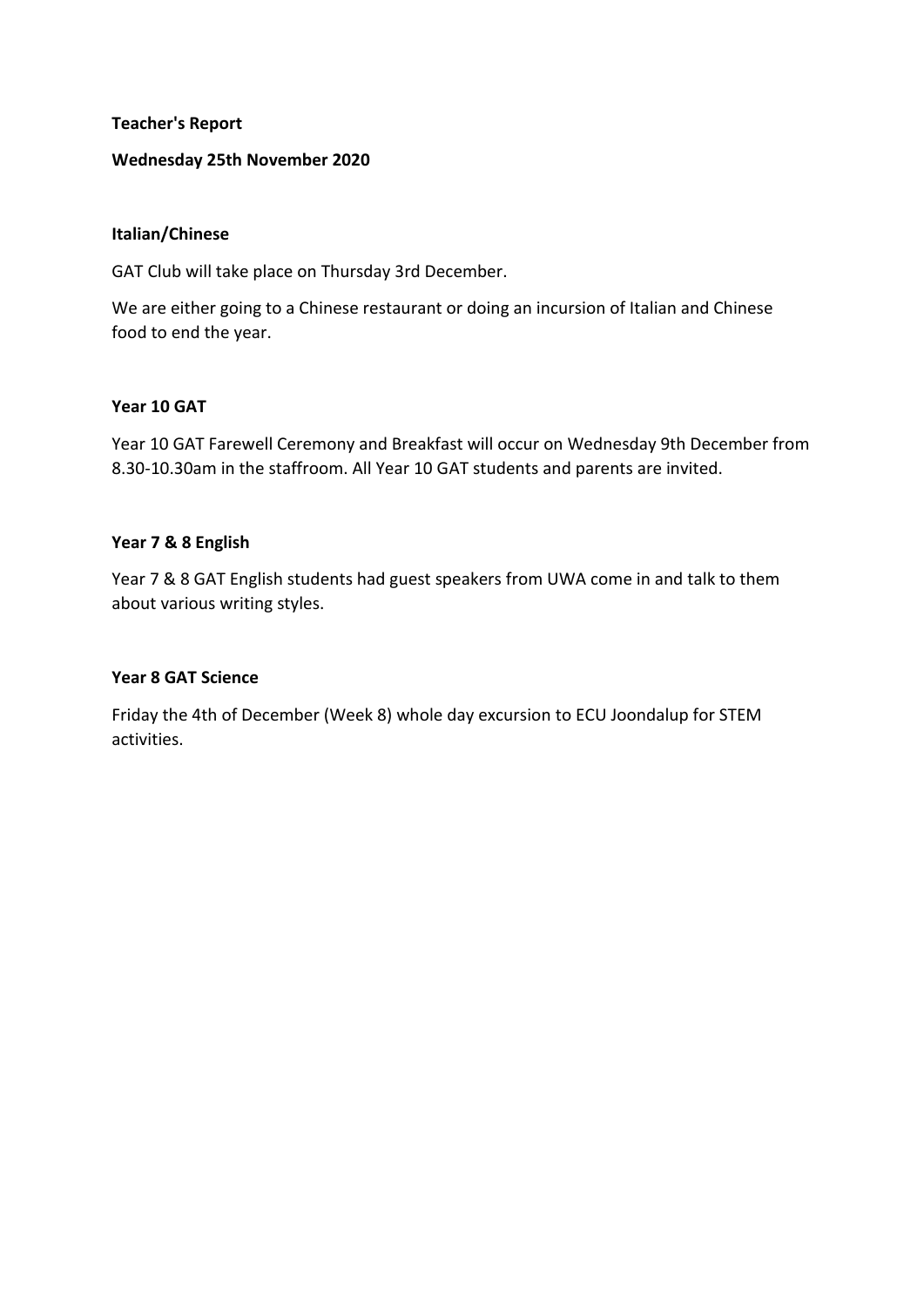**Teacher's Report**

#### **Wednesday 25th November 2020**

#### **Italian/Chinese**

GAT Club will take place on Thursday 3rd December.

We are either going to a Chinese restaurant or doing an incursion of Italian and Chinese food to end the year.

#### **Year 10 GAT**

Year 10 GAT Farewell Ceremony and Breakfast will occur on Wednesday 9th December from 8.30-10.30am in the staffroom. All Year 10 GAT students and parents are invited.

#### **Year 7 & 8 English**

Year 7 & 8 GAT English students had guest speakers from UWA come in and talk to them about various writing styles.

#### **Year 8 GAT Science**

Friday the 4th of December (Week 8) whole day excursion to ECU Joondalup for STEM activities.